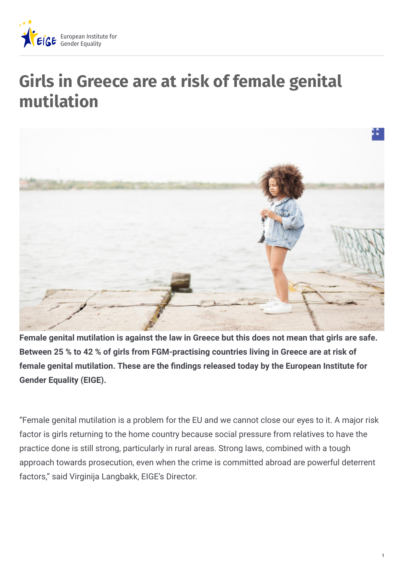

## **Girls in Greece are at risk of female genital mutilation**



**Female genital mutilation is against the law in Greece but this does not mean that girls are safe. Between 25 % to 42 % of girls from FGM-practising countries living in Greece are at risk of female genital mutilation. These are the "ndings released today by the European Institute for Gender Equality (EIGE).**

"Female genital mutilation is a problem for the EU and we cannot close our eyes to it. A major risk factor is girls returning to the home country because social pressure from relatives to have the practice done is still strong, particularly in rural areas. Strong laws, combined with a tough approach towards prosecution, even when the crime is committed abroad are powerful deterrent factors," said Virginija Langbakk, EIGE's Director.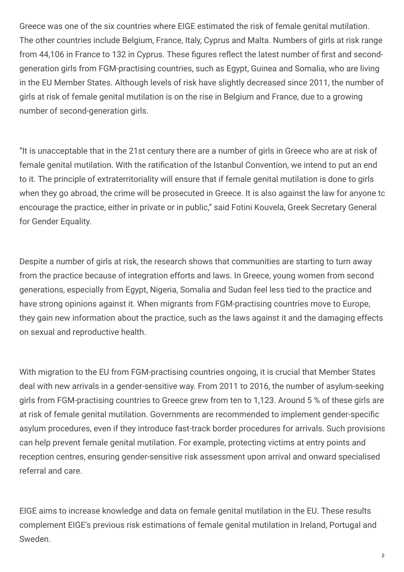Greece was one of the six countries where EIGE estimated the risk of female genital mutilation. The other countries include Belgium, France, Italy, Cyprus and Malta. Numbers of girls at risk range from 44,106 in France to 132 in Cyprus. These figures reflect the latest number of first and secondgeneration girls from FGM-practising countries, such as Egypt, Guinea and Somalia, who are living in the EU Member States. Although levels of risk have slightly decreased since 2011, the number of girls at risk of female genital mutilation is on the rise in Belgium and France, due to a growing number of second-generation girls.

"It is unacceptable that in the 21st century there are a number of girls in Greece who are at risk of female genital mutilation. With the ratification of the Istanbul Convention, we intend to put an end to it. The principle of extraterritoriality will ensure that if female genital mutilation is done to girls when they go abroad, the crime will be prosecuted in Greece. It is also against the law for anyone to encourage the practice, either in private or in public," said Fotini Kouvela, Greek Secretary General for Gender Equality.

Despite a number of girls at risk, the research shows that communities are starting to turn away from the practice because of integration efforts and laws. In Greece, young women from second generations, especially from Egypt, Nigeria, Somalia and Sudan feel less tied to the practice and have strong opinions against it. When migrants from FGM-practising countries move to Europe, they gain new information about the practice, such as the laws against it and the damaging effects on sexual and reproductive health.

With migration to the EU from FGM-practising countries ongoing, it is crucial that Member States deal with new arrivals in a gender-sensitive way. From 2011 to 2016, the number of asylum-seeking girls from FGM-practising countries to Greece grew from ten to 1,123. Around 5 % of these girls are at risk of female genital mutilation. Governments are recommended to implement gender-specific asylum procedures, even if they introduce fast-track border procedures for arrivals. Such provisions can help prevent female genital mutilation. For example, protecting victims at entry points and reception centres, ensuring gender-sensitive risk assessment upon arrival and onward specialised referral and care.

EIGE aims to increase knowledge and data on female genital mutilation in the EU. These results complement EIGE's previous risk estimations of female genital mutilation in Ireland, Portugal and Sweden.